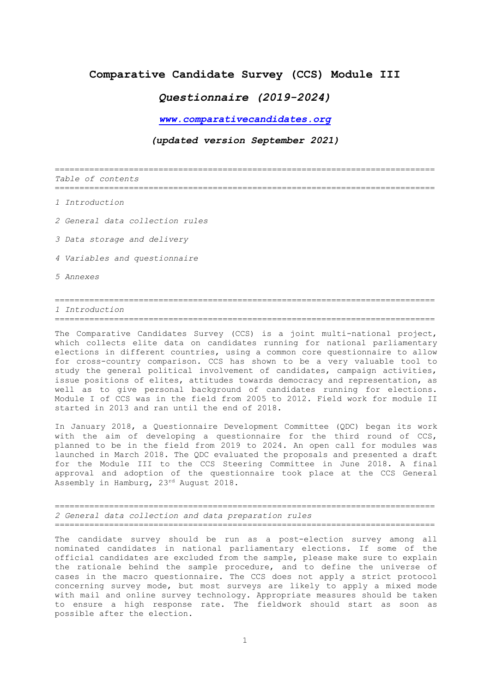## **Comparative Candidate Survey (CCS) Module III**

# *Questionnaire (2019-2024)*

*[www.comparativecandidates.org](http://www.comparativecandidates.org/)*

## *(updated version September 2021)*

============================================================================= *Table of contents* =============================================================================

*1 Introduction*

*2 General data collection rules*

*3 Data storage and delivery*

*4 Variables and questionnaire*

*5 Annexes*

## ============================================================================= *1 Introduction*

=============================================================================

The Comparative Candidates Survey (CCS) is a joint multi-national project, which collects elite data on candidates running for national parliamentary elections in different countries, using a common core questionnaire to allow for cross-country comparison. CCS has shown to be a very valuable tool to study the general political involvement of candidates, campaign activities, issue positions of elites, attitudes towards democracy and representation, as well as to give personal background of candidates running for elections. Module I of CCS was in the field from 2005 to 2012. Field work for module II started in 2013 and ran until the end of 2018.

In January 2018, a Questionnaire Development Committee (QDC) began its work with the aim of developing a questionnaire for the third round of CCS, planned to be in the field from 2019 to 2024. An open call for modules was launched in March 2018. The QDC evaluated the proposals and presented a draft for the Module III to the CCS Steering Committee in June 2018. A final approval and adoption of the questionnaire took place at the CCS General Assembly in Hamburg, 23rd August 2018.

============================================================================= *2 General data collection and data preparation rules* =============================================================================

The candidate survey should be run as a post-election survey among all nominated candidates in national parliamentary elections. If some of the official candidates are excluded from the sample, please make sure to explain the rationale behind the sample procedure, and to define the universe of cases in the macro questionnaire. The CCS does not apply a strict protocol concerning survey mode, but most surveys are likely to apply a mixed mode with mail and online survey technology. Appropriate measures should be taken to ensure a high response rate. The fieldwork should start as soon as possible after the election.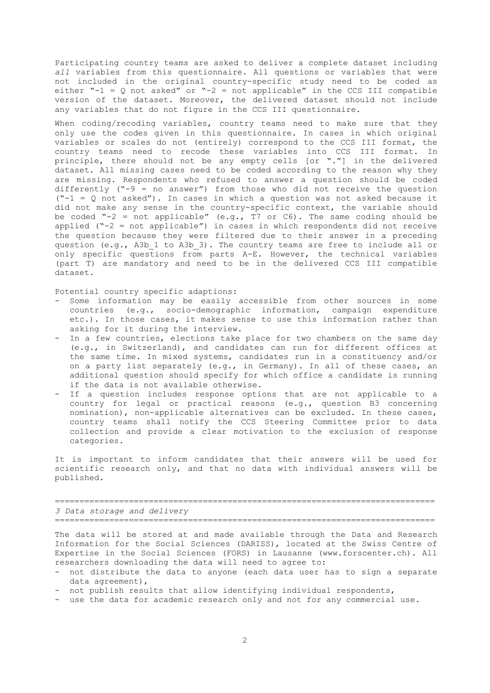Participating country teams are asked to deliver a complete dataset including *all* variables from this questionnaire. All questions or variables that were not included in the original country-specific study need to be coded as either  $-1 = Q$  not asked" or  $-2 =$  not applicable" in the CCS III compatible version of the dataset. Moreover, the delivered dataset should not include any variables that do not figure in the CCS III questionnaire.

When coding/recoding variables, country teams need to make sure that they only use the codes given in this questionnaire. In cases in which original variables or scales do not (entirely) correspond to the CCS III format, the country teams need to recode these variables into CCS III format. In principle, there should not be any empty cells [or "."] in the delivered dataset. All missing cases need to be coded according to the reason why they are missing. Respondents who refused to answer a question should be coded differently ("-9 = no answer") from those who did not receive the question  $("-1 = Q not asked")$ . In cases in which a question was not asked because it did not make any sense in the country-specific context, the variable should be coded "-2 = not applicable" (e.g.,  $T7$  or  $C6$ ). The same coding should be applied ("-2 = not applicable") in cases in which respondents did not receive the question because they were filtered due to their answer in a preceding question (e.g., A3b\_1 to A3b\_3). The country teams are free to include all or only specific questions from parts A-E. However, the technical variables (part T) are mandatory and need to be in the delivered CCS III compatible dataset.

Potential country specific adaptions:

- Some information may be easily accessible from other sources in some countries (e.g., socio-demographic information, campaign expenditure etc.). In those cases, it makes sense to use this information rather than asking for it during the interview.
- In a few countries, elections take place for two chambers on the same day (e.g., in Switzerland), and candidates can run for different offices at the same time. In mixed systems, candidates run in a constituency and/or on a party list separately (e.g., in Germany). In all of these cases, an additional question should specify for which office a candidate is running if the data is not available otherwise.
- If a question includes response options that are not applicable to a country for legal or practical reasons (e.g., question B3 concerning nomination), non-applicable alternatives can be excluded. In these cases, country teams shall notify the CCS Steering Committee prior to data collection and provide a clear motivation to the exclusion of response categories.

It is important to inform candidates that their answers will be used for scientific research only, and that no data with individual answers will be published.

============================================================================= *3 Data storage and delivery* =============================================================================

The data will be stored at and made available through the Data and Research Information for the Social Sciences (DARISS), located at the Swiss Centre of Expertise in the Social Sciences (FORS) in Lausanne (www.forscenter.ch). All researchers downloading the data will need to agree to:

- not distribute the data to anyone (each data user has to sign a separate data agreement),
- not publish results that allow identifying individual respondents,
- use the data for academic research only and not for any commercial use.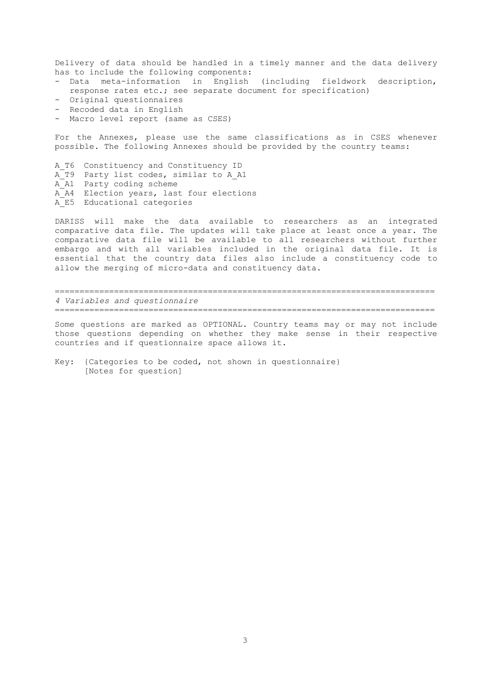Delivery of data should be handled in a timely manner and the data delivery has to include the following components:

- Data meta-information in English (including fieldwork description, response rates etc.; see separate document for specification)
- Original questionnaires
- Recoded data in English
- Macro level report (same as CSES)

For the Annexes, please use the same classifications as in CSES whenever possible. The following Annexes should be provided by the country teams:

A\_T6 Constituency and Constituency ID A\_T9 Party list codes, similar to A\_A1 A<sup>-</sup>A1 Party coding scheme A\_A4 Election years, last four elections A\_E5 Educational categories

DARISS will make the data available to researchers as an integrated comparative data file. The updates will take place at least once a year. The comparative data file will be available to all researchers without further embargo and with all variables included in the original data file. It is essential that the country data files also include a constituency code to allow the merging of micro-data and constituency data.

============================================================================= *4 Variables and questionnaire* =============================================================================

Some questions are marked as OPTIONAL. Country teams may or may not include those questions depending on whether they make sense in their respective countries and if questionnaire space allows it.

Key: {Categories to be coded, not shown in questionnaire} [Notes for question]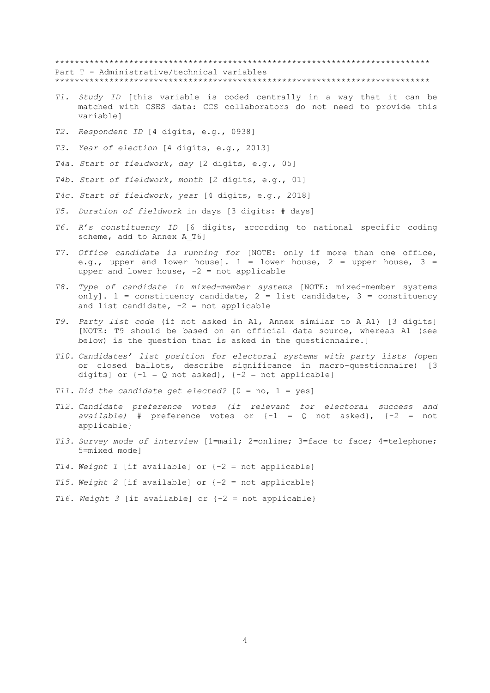\*\*\*\*\*\*\*\*\*\*\*\*\*\*\*\*\*\*\*\*\*\*\*\*\*\*\*\*\*\*\*\*\*\*\*\*\*\*\*\*\*\*\*\*\*\*\*\*\*\*\*\*\*\*\*\*\*\*\*\*\*\*\*\*\*\*\*\*\*\*\*\*\*\*\*\* Part T - Administrative/technical variables \*\*\*\*\*\*\*\*\*\*\*\*\*\*\*\*\*\*\*\*\*\*\*\*\*\*\*\*\*\*\*\*\*\*\*\*\*\*\*\*\*\*\*\*\*\*\*\*\*\*\*\*\*\*\*\*\*\*\*\*\*\*\*\*\*\*\*\*\*\*\*\*\*\*\*\*

- *T1. Study ID* [this variable is coded centrally in a way that it can be matched with CSES data: CCS collaborators do not need to provide this variable]
- *T2. Respondent ID* [4 digits, e.g., 0938]
- *T3. Year of election* [4 digits, e.g., 2013]

*T4a. Start of fieldwork, day* [2 digits, e.g., 05]

- *T4b. Start of fieldwork, month* [2 digits, e.g., 01]
- *T4c. Start of fieldwork, year* [4 digits, e.g., 2018]
- *T5. Duration of fieldwork* in days [3 digits: # days]
- *T6. R's constituency ID* [6 digits, according to national specific coding scheme, add to Annex A T6]
- *T7. Office candidate is running for* [NOTE: only if more than one office, e.g., upper and lower house].  $1 =$  lower house,  $2 =$  upper house,  $3 =$ upper and lower house,  $-2$  = not applicable
- *T8. Type of candidate in mixed-member systems* [NOTE: mixed-member systems only].  $1 =$  constituency candidate,  $2 =$  list candidate,  $3 =$  constituency and list candidate,  $-2$  = not applicable
- *T9. Party list code* (if not asked in A1, Annex similar to A\_A1) [3 digits] [NOTE: T9 should be based on an official data source, whereas A1 (see below) is the question that is asked in the questionnaire.]
- *T10. Candidates' list position for electoral systems with party lists (*open or closed ballots, describe significance in macro-questionnaire) [3 digits] or  $\{-1 = Q \text{ not asked}\}\$ ,  $\{-2 = \text{not applicable}\}\$
- *T11. Did the candidate get elected?* [0 = no, 1 = yes]
- *T12. Candidate preference votes (if relevant for electoral success and available)* # preference votes or {-1 = Q not asked}, {-2 = not applicable}
- *T13. Survey mode of interview* [1=mail; 2=online; 3=face to face; 4=telephone; 5=mixed mode]
- *T14. Weight 1* [if available] or {-2 = not applicable}
- *T15. Weight 2* [if available] or {-2 = not applicable}
- *T16. Weight 3* [if available] or {-2 = not applicable}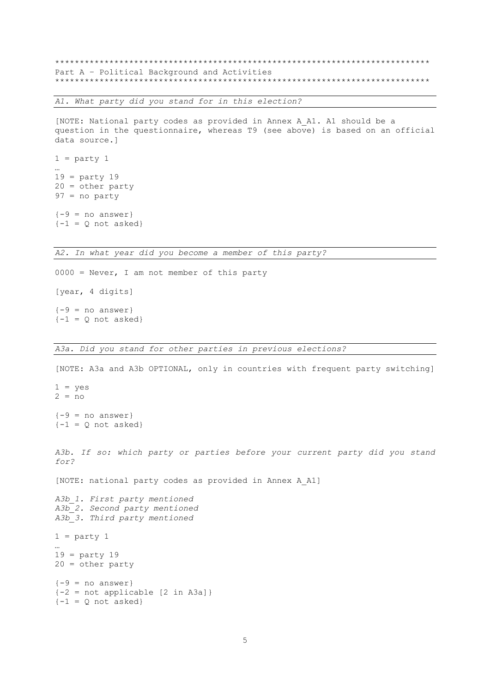\*\*\*\*\*\*\*\*\*\*\*\*\*\*\*\*\*\*\*\*\*\*\*\*\*\*\*\*\*\*\*\*\*\*\*\*\*\*\*\*\*\*\*\*\*\*\*\*\*\*\*\*\*\*\*\*\*\*\*\*\*\*\*\*\*\*\*\*\*\*\*\*\*\*\*\* Part A – Political Background and Activities \*\*\*\*\*\*\*\*\*\*\*\*\*\*\*\*\*\*\*\*\*\*\*\*\*\*\*\*\*\*\*\*\*\*\*\*\*\*\*\*\*\*\*\*\*\*\*\*\*\*\*\*\*\*\*\*\*\*\*\*\*\*\*\*\*\*\*\*\*\*\*\*\*\*\*\*

*A1. What party did you stand for in this election?*

[NOTE: National party codes as provided in Annex A\_A1. A1 should be a question in the questionnaire, whereas T9 (see above) is based on an official data source.]

 $1 =$  party  $1$ …  $19 =$  party 19  $20 =$  other party  $97 = no$  party  ${-9}$  = no answer}

 ${-1}$  = Q not asked}

*A2. In what year did you become a member of this party?*

 $0000 =$  Never, I am not member of this party [year, 4 digits]  ${-9}$  = no answer}  $\{-1 = Q \text{ not asked}\}$ 

#### *A3a. Did you stand for other parties in previous elections?*

[NOTE: A3a and A3b OPTIONAL, only in countries with frequent party switching]  $1 = yes$  $2 = no$  ${-9}$  = no answer}  $\{-1 = Q \text{ not asked}\}$ *A3b. If so: which party or parties before your current party did you stand for?*  [NOTE: national party codes as provided in Annex A\_A1] *A3b\_1. First party mentioned A3b\_2. Second party mentioned A3b\_3. Third party mentioned*  $1 =$  party  $1$ …  $19 =$  party  $19$ 20 = other party  ${-9}$  = no answer}  ${-2 = not applicable [2 in A3a]}$  ${-1}$  = Q not asked}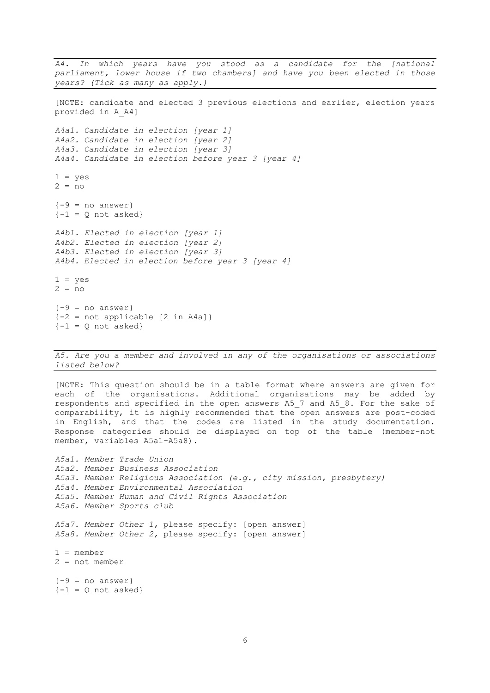*A4. In which years have you stood as a candidate for the [national parliament, lower house if two chambers] and have you been elected in those years? (Tick as many as apply.)*  [NOTE: candidate and elected 3 previous elections and earlier, election years provided in A\_A4] *A4a1. Candidate in election [year 1] A4a2. Candidate in election [year 2] A4a3. Candidate in election [year 3] A4a4. Candidate in election before year 3 [year 4]*  $1 = ves$  $2 = no$  ${-9}$  = no answer}  $\{-1 = Q \text{ not asked}\}$ *A4b1. Elected in election [year 1] A4b2. Elected in election [year 2] A4b3. Elected in election [year 3] A4b4. Elected in election before year 3 [year 4]*  $1 = ves$  $2 = no$  ${-9}$  = no answer}  ${-2 = not applicable [2 in A4a]}$  $\{-1 = Q \text{ not asked}\}$ 

*A5. Are you a member and involved in any of the organisations or associations listed below?*

[NOTE: This question should be in a table format where answers are given for each of the organisations. Additional organisations may be added by respondents and specified in the open answers A5\_7 and A5\_8. For the sake of comparability, it is highly recommended that the open answers are post-coded in English, and that the codes are listed in the study documentation. Response categories should be displayed on top of the table (member-not member, variables A5a1-A5a8).

*A5a1. Member Trade Union A5a2. Member Business Association A5a3. Member Religious Association (e.g., city mission, presbytery) A5a4. Member Environmental Association A5a5. Member Human and Civil Rights Association A5a6. Member Sports club A5a7. Member Other 1,* please specify: [open answer] *A5a8. Member Other 2,* please specify: [open answer]  $1 = member$ 2 = not member  ${-9}$  = no answer}  $\{-1 = Q \text{ not asked}\}$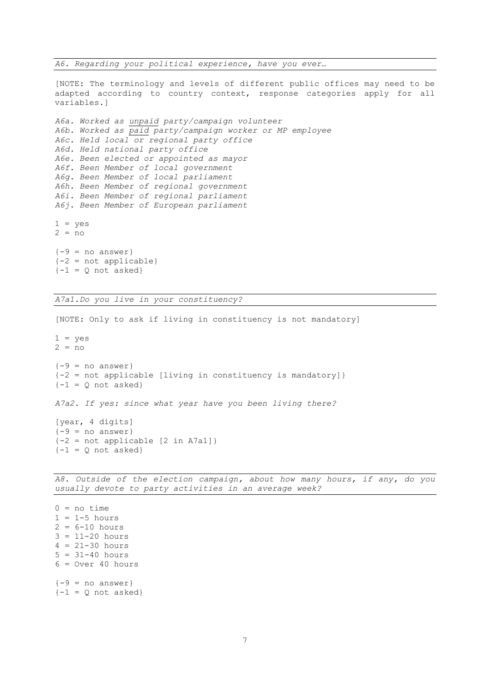*A6. Regarding your political experience, have you ever…* 

[NOTE: The terminology and levels of different public offices may need to be adapted according to country context, response categories apply for all variables.]

```
A6a. Worked as unpaid party/campaign volunteer
A6b. Worked as paid party/campaign worker or MP employee
A6c. Held local or regional party office
A6d. Held national party office
A6e. Been elected or appointed as mayor
A6f. Been Member of local government
A6g. Been Member of local parliament
A6h. Been Member of regional government
A6i. Been Member of regional parliament
A6j. Been Member of European parliament
1 = yes2 = no{-9} = no answer}
{-2} = not applicable}
\{-1 = Q \text{ not asked}\}
```
*A7a1.Do you live in your constituency?*

```
[NOTE: Only to ask if living in constituency is not mandatory]
1 = yes2 = no{-9} = no answer}
{-2 = not applicable [diving in constituency is mandatory]}\{-1 = 0 \text{ not asked}\}A7a2. If yes: since what year have you been living there?
[year, 4 digits]
{-9} = no answer}
{-2 = not applicable [2 in A7a1]}\{-1 = Q \text{ not asked}\}
```
*A8. Outside of the election campaign, about how many hours, if any, do you usually devote to party activities in an average week?* 

 $0 = no time$  $1 = 1-5$  hours  $2 = 6 - 10$  hours  $3 = 11 - 20$  hours  $4 = 21 - 30 hours$  $5 = 31 - 40$  hours  $6 = Over 40 hours$  ${-9}$  = no answer}  $\{-1 = Q \text{ not asked}\}$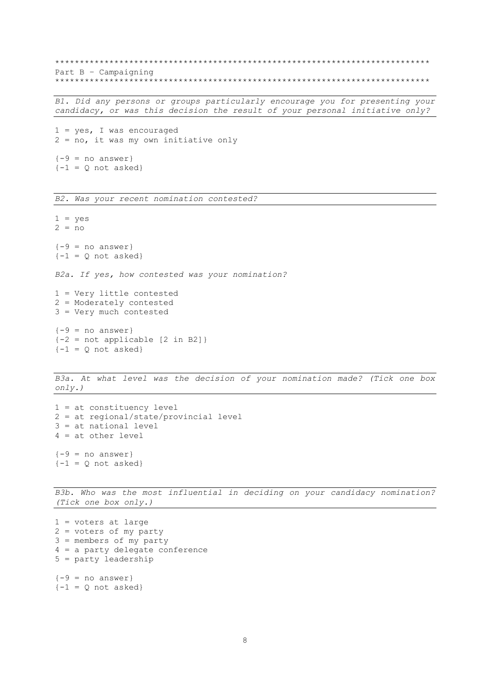\*\*\*\*\*\*\*\*\*\*\*\*\*\*\*\*\*\*\*\*\*\*\*\*\*\*\*\*\*\*\*\*\*\*\*\*\*\*\*\*\*\*\*\*\*\*\*\*\*\*\*\*\*\*\*\*\*\*\*\*\*\*\*\*\*\*\*\*\*\*\*\*\*\*\*\* Part B – Campaigning \*\*\*\*\*\*\*\*\*\*\*\*\*\*\*\*\*\*\*\*\*\*\*\*\*\*\*\*\*\*\*\*\*\*\*\*\*\*\*\*\*\*\*\*\*\*\*\*\*\*\*\*\*\*\*\*\*\*\*\*\*\*\*\*\*\*\*\*\*\*\*\*\*\*\*\*

*B1. Did any persons or groups particularly encourage you for presenting your candidacy, or was this decision the result of your personal initiative only?*

 $1 = yes, I was encouraged$ 2 = no, it was my own initiative only  ${-9}$  = no answer}  $\{-1 = Q \text{ not asked}\}$ 

*B2. Was your recent nomination contested?*

 $1 = yes$  $2 = no$  ${-9}$  = no answer}  $\{-1 = Q \text{ not asked}\}$ *B2a. If yes, how contested was your nomination?* 1 = Very little contested 2 = Moderately contested 3 = Very much contested  ${-9}$  = no answer}  ${-2 = not applicable [2 in B2]}$  ${-1}$  = Q not asked}

*B3a. At what level was the decision of your nomination made? (Tick one box only.)*

```
1 = at constituency level
2 = at regional/state/provincial level
3 = at national level
4 = at other level
{-9} = no answer}
\{-1 = Q \text{ not asked}\}
```
*B3b. Who was the most influential in deciding on your candidacy nomination? (Tick one box only.)*

```
1 = voters at large
2 = voters of my party
3 = members of my party
4 = a party delegate conference
5 = party leadership
{-9} = no answer}
\{-1 = Q \text{ not asked}\}
```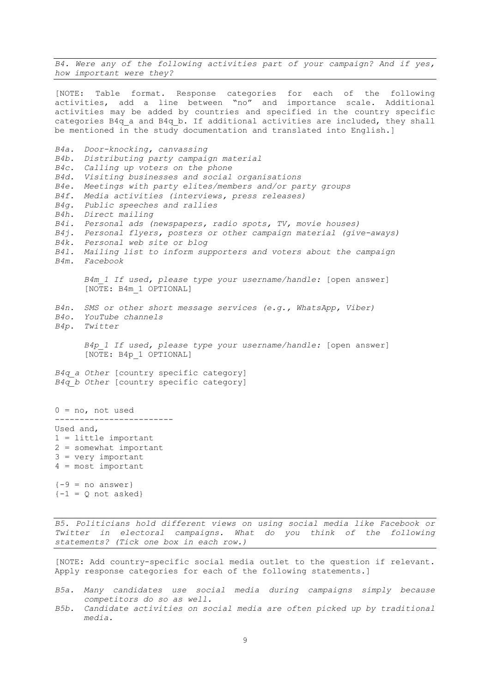*B4. Were any of the following activities part of your campaign? And if yes, how important were they?*

[NOTE: Table format. Response categories for each of the following activities, add a line between "no" and importance scale. Additional activities may be added by countries and specified in the country specific categories B4q a and B4q b. If additional activities are included, they shall be mentioned in the study documentation and translated into English.]

*B4a. Door-knocking, canvassing B4b. Distributing party campaign material B4c. Calling up voters on the phone B4d. Visiting businesses and social organisations B4e. Meetings with party elites/members and/or party groups B4f. Media activities (interviews, press releases) B4g. Public speeches and rallies B4h. Direct mailing B4i. Personal ads (newspapers, radio spots, TV, movie houses) B4j. Personal flyers, posters or other campaign material (give-aways) B4k. Personal web site or blog B4l. Mailing list to inform supporters and voters about the campaign B4m. Facebook B4m\_1 If used, please type your username/handle:* [open answer] [NOTE: B4m\_1 OPTIONAL] *B4n. SMS or other short message services (e.g., WhatsApp, Viber) B4o. YouTube channels B4p. Twitter B4p\_1 If used, please type your username/handle:* [open answer] [NOTE: B4p\_1 OPTIONAL] *B4q\_a Other* [country specific category] *B4q\_b Other* [country specific category]  $0 = no$ , not used ------------------------ Used and, 1 = little important 2 = somewhat important 3 = very important 4 = most important  ${-9}$  = no answer}  ${-1} = 0$  not asked}

*B5. Politicians hold different views on using social media like Facebook or Twitter in electoral campaigns. What do you think of the following statements? (Tick one box in each row.)*

[NOTE: Add country-specific social media outlet to the question if relevant. Apply response categories for each of the following statements.]

- *B5a. Many candidates use social media during campaigns simply because competitors do so as well.*
- *B5b. Candidate activities on social media are often picked up by traditional media.*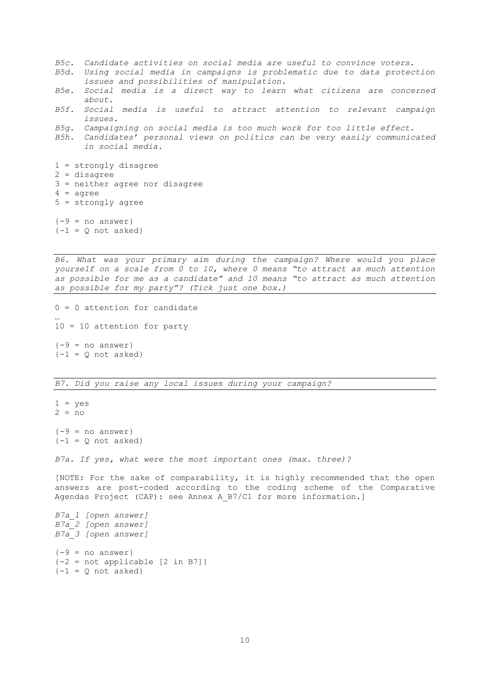- *B5c. Candidate activities on social media are useful to convince voters.*
- *B5d. Using social media in campaigns is problematic due to data protection issues and possibilities of manipulation.*
- *B5e. Social media is a direct way to learn what citizens are concerned about.*
- *B5f. Social media is useful to attract attention to relevant campaign issues.*
- *B5g. Campaigning on social media is too much work for too little effect.*
- *B5h. Candidates' personal views on politics can be very easily communicated in social media.*

1 = strongly disagree 2 = disagree

- 3 = neither agree nor disagree
- $4 = \text{agree}$
- 5 = strongly agree

 ${-9}$  = no answer}  $\{-1 = Q \text{ not asked}\}$ 

*B6. What was your primary aim during the campaign? Where would you place yourself on a scale from 0 to 10, where 0 means "to attract as much attention as possible for me as a candidate" and 10 means "to attract as much attention as possible for my party"? (Tick just one box.)*

 $0 = 0$  attention for candidate … 10 = 10 attention for party  ${-9 = no answer}$  $\{-1 = Q \text{ not asked}\}$ 

### *B7. Did you raise any local issues during your campaign?*

```
1 = yes2 = no{-9} = no answer}
\{-1 = Q \text{ not asked}\}
```
*B7a. If yes, what were the most important ones (max. three)?*

[NOTE: For the sake of comparability, it is highly recommended that the open answers are post-coded according to the coding scheme of the Comparative Agendas Project (CAP): see Annex A B7/C1 for more information.]

```
B7a_1 [open answer]
B7a_2 [open answer]
B7a_3 [open answer]
{-9 = no answer}{-2 = not applicable [2 in B7]}{-1} = Q not asked}
```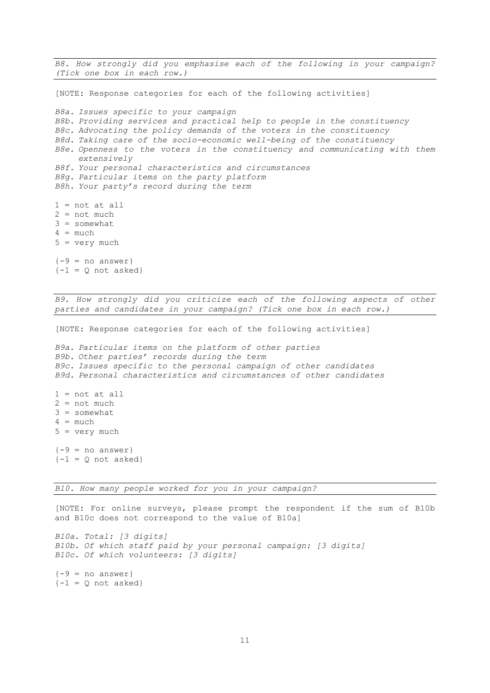*B8. How strongly did you emphasise each of the following in your campaign? (Tick one box in each row.)* 

[NOTE: Response categories for each of the following activities] *B8a. Issues specific to your campaign B8b. Providing services and practical help to people in the constituency B8c. Advocating the policy demands of the voters in the constituency B8d. Taking care of the socio-economic well-being of the constituency B8e. Openness to the voters in the constituency and communicating with them extensively B8f. Your personal characteristics and circumstances B8g. Particular items on the party platform B8h. Your party's record during the term*  $1 = not at all$  $2 = not much$ 3 = somewhat  $4 = much$ 5 = very much

 ${-9}$  = no answer}  $\{-1 = Q \text{ not asked}\}$ 

*B9. How strongly did you criticize each of the following aspects of other parties and candidates in your campaign? (Tick one box in each row.)* 

[NOTE: Response categories for each of the following activities]

*B9a. Particular items on the platform of other parties B9b. Other parties' records during the term B9c. Issues specific to the personal campaign of other candidates B9d. Personal characteristics and circumstances of other candidates*  $1 = not at all$  $2 = not much$ 3 = somewhat  $4 = much$ 5 = very much

 ${-9}$  = no answer}  $\{-1 = Q \text{ not asked}\}$ 

*B10. How many people worked for you in your campaign?*

[NOTE: For online surveys, please prompt the respondent if the sum of B10b and B10c does not correspond to the value of B10a]

*B10a. Total: [3 digits] B10b. Of which staff paid by your personal campaign: [3 digits] B10c. Of which volunteers: [3 digits]*

 ${-9}$  = no answer}  $\{-1 = Q \text{ not asked}\}$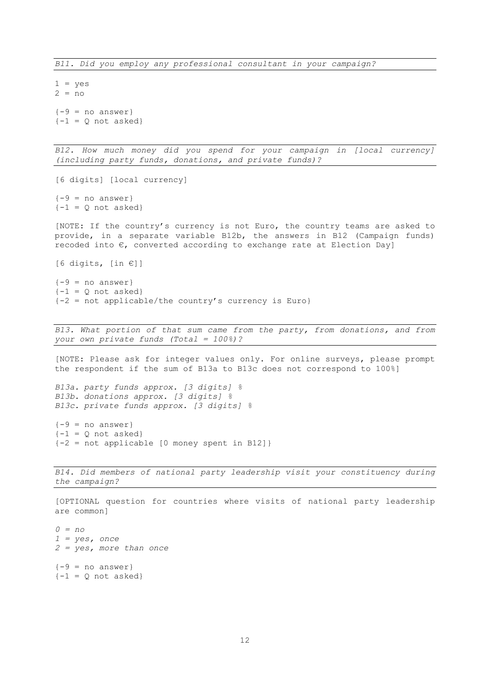$1 = yes$  $2 = no$  ${-9}$  = no answer}  $\{-1 = Q \text{ not asked}\}$ 

*B12. How much money did you spend for your campaign in [local currency] (including party funds, donations, and private funds)?* 

[6 digits] [local currency]  ${-9}$  = no answer}  $\{-1 = Q \text{ not asked}\}$ 

[NOTE: If the country's currency is not Euro, the country teams are asked to provide, in a separate variable B12b, the answers in B12 (Campaign funds) recoded into  $\epsilon$ , converted according to exchange rate at Election Day]

[6 digits,  $[in \in ]$ ]

 ${-9}$  = no answer}  $\{-1 = Q \text{ not asked}\}$  ${-2}$  = not applicable/the country's currency is Euro}

*B13. What portion of that sum came from the party, from donations, and from your own private funds (Total = 100%)?* 

[NOTE: Please ask for integer values only. For online surveys, please prompt the respondent if the sum of B13a to B13c does not correspond to 100%]

```
B13a. party funds approx. [3 digits] % 
B13b. donations approx. [3 digits] %
B13c. private funds approx. [3 digits] %
```

```
{-9} = no answer}
\{-1 = Q \text{ not asked}\}{-2 = not applicable [0 money spent in B12]}
```
*B14. Did members of national party leadership visit your constituency during the campaign?* 

[OPTIONAL question for countries where visits of national party leadership are common] *0 = no 1 = yes, once 2 = yes, more than once*

 ${-9}$  = no answer}  $\{-1 = Q \text{ not asked}\}$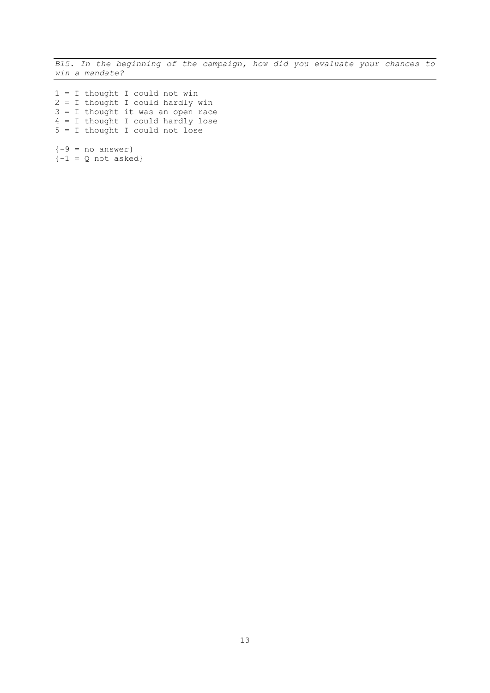*B15. In the beginning of the campaign, how did you evaluate your chances to win a mandate?*

 = I thought I could not win = I thought I could hardly win = I thought it was an open race = I thought I could hardly lose = I thought I could not lose  ${-9}$  = no answer}

 ${-1} = Q$  not asked}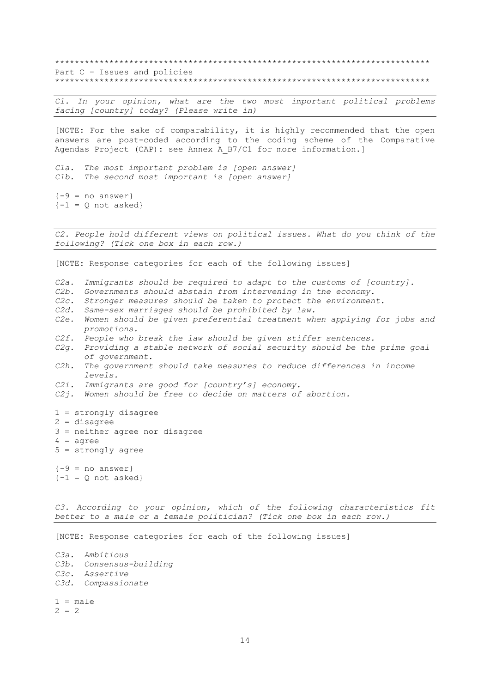\*\*\*\*\*\*\*\*\*\*\*\*\*\*\*\*\*\*\*\*\*\*\*\*\*\*\*\*\*\*\*\*\*\*\*\*\*\*\*\*\*\*\*\*\*\*\*\*\*\*\*\*\*\*\*\*\*\*\*\*\*\*\*\*\*\*\*\*\*\*\*\*\*\*\*\* Part C – Issues and policies \*\*\*\*\*\*\*\*\*\*\*\*\*\*\*\*\*\*\*\*\*\*\*\*\*\*\*\*\*\*\*\*\*\*\*\*\*\*\*\*\*\*\*\*\*\*\*\*\*\*\*\*\*\*\*\*\*\*\*\*\*\*\*\*\*\*\*\*\*\*\*\*\*\*\*\*

*C1. In your opinion, what are the two most important political problems facing [country] today? (Please write in)*

[NOTE: For the sake of comparability, it is highly recommended that the open answers are post-coded according to the coding scheme of the Comparative Agendas Project (CAP): see Annex A\_B7/C1 for more information.]

*C1a. The most important problem is [open answer] C1b. The second most important is [open answer]*

 ${-9}$  = no answer}  $\{-1 = Q \text{ not asked}\}$ 

*C2. People hold different views on political issues. What do you think of the following? (Tick one box in each row.)*

[NOTE: Response categories for each of the following issues]

- *C2a. Immigrants should be required to adapt to the customs of [country].*
- *C2b. Governments should abstain from intervening in the economy.*
- *C2c. Stronger measures should be taken to protect the environment.*
- *C2d. Same-sex marriages should be prohibited by law.*
- *C2e. Women should be given preferential treatment when applying for jobs and promotions.*
- *C2f. People who break the law should be given stiffer sentences.*
- *C2g. Providing a stable network of social security should be the prime goal of government.*
- *C2h. The government should take measures to reduce differences in income levels.*
- *C2i. Immigrants are good for [country's] economy.*
- *C2j. Women should be free to decide on matters of abortion.*
- 1 = strongly disagree
- 2 = disagree
- 3 = neither agree nor disagree
- $4 = a$ gree
- 5 = strongly agree

 ${-9}$  = no answer}  $\{-1 = Q \text{ not asked}\}$ 

*C3. According to your opinion, which of the following characteristics fit better to a male or a female politician? (Tick one box in each row.)*

[NOTE: Response categories for each of the following issues]

*C3a. Ambitious C3b. Consensus-building C3c. Assertive C3d. Compassionate*  $1 = male$ 

 $2 = 2$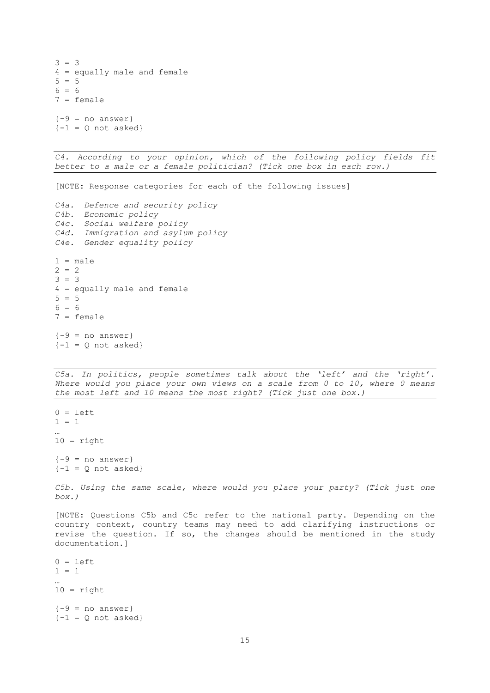```
3 = 34 = equally male and female
5 = 56 = 67 = female
{-9} = no answer}
{-1} = 0 not asked}
```
*C4. According to your opinion, which of the following policy fields fit better to a male or a female politician? (Tick one box in each row.)*

[NOTE: Response categories for each of the following issues]

```
C4a. Defence and security policy
C4b. Economic policy 
C4c. Social welfare policy
C4d. Immigration and asylum policy
C4e. Gender equality policy
1 = male2 = 23 = 34 = equally male and female
```

```
5 = 56 = 67 = female
{-9} = no answer}
\{-1 = Q \text{ not asked}\}
```
*C5a. In politics, people sometimes talk about the 'left' and the 'right'.*  Where would you place your own views on a scale from 0 to 10, where 0 means *the most left and 10 means the most right? (Tick just one box.)*

```
0 = \text{left}1 = 1…
10 = right{-9} = no answer}
\{-1 = Q \text{ not asked}\}
```
*C5b. Using the same scale, where would you place your party? (Tick just one box.)*

[NOTE: Questions C5b and C5c refer to the national party. Depending on the country context, country teams may need to add clarifying instructions or revise the question. If so, the changes should be mentioned in the study documentation.]

 $0 = \text{left}$  $1 = 1$ …  $10 = right$  ${-9 = no answer}$  ${-1}$  = Q not asked}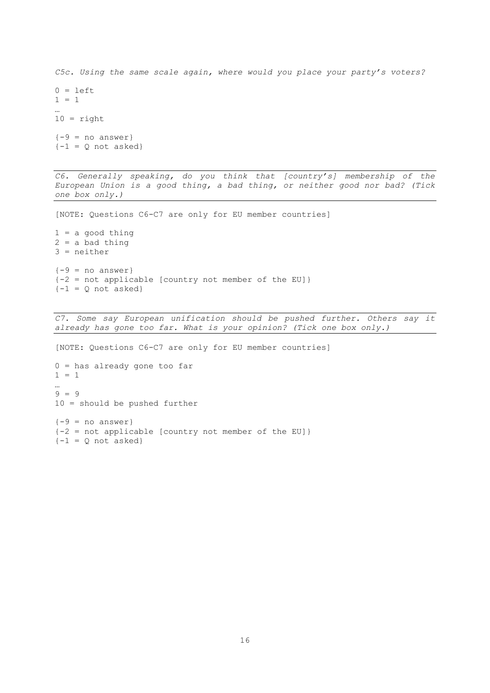*C5c. Using the same scale again, where would you place your party's voters?*  $0 = \text{left}$  $1 = 1$ …  $10 =$  right  ${-9}$  = no answer}  ${-1}$  = Q not asked}

*C6. Generally speaking, do you think that [country's] membership of the European Union is a good thing, a bad thing, or neither good nor bad? (Tick one box only.)* 

[NOTE: Questions C6-C7 are only for EU member countries]

 $1 = a$  good thing  $2 = a$  bad thing 3 = neither  ${-9}$  = no answer}  ${-2}$  = not applicable [country not member of the EU]}  $\{-1 = 0 \text{ not asked}\}$ 

*C7. Some say European unification should be pushed further. Others say it already has gone too far. What is your opinion? (Tick one box only.)* 

[NOTE: Questions C6-C7 are only for EU member countries] 0 = has already gone too far  $1 = 1$ …  $9 = 9$ 10 = should be pushed further  ${-9}$  = no answer} {-2 = not applicable [country not member of the EU]}  $\{-1 = Q \text{ not asked}\}$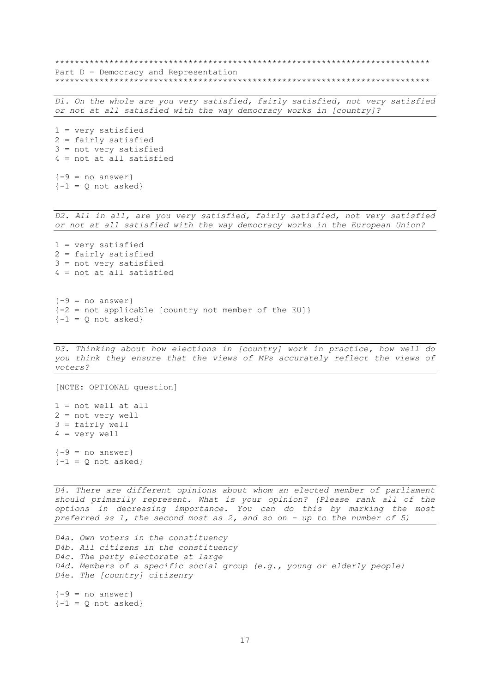\*\*\*\*\*\*\*\*\*\*\*\*\*\*\*\*\*\*\*\*\*\*\*\*\*\*\*\*\*\*\*\*\*\*\*\*\*\*\*\*\*\*\*\*\*\*\*\*\*\*\*\*\*\*\*\*\*\*\*\*\*\*\*\*\*\*\*\*\*\*\*\*\*\*\*\* Part D – Democracy and Representation \*\*\*\*\*\*\*\*\*\*\*\*\*\*\*\*\*\*\*\*\*\*\*\*\*\*\*\*\*\*\*\*\*\*\*\*\*\*\*\*\*\*\*\*\*\*\*\*\*\*\*\*\*\*\*\*\*\*\*\*\*\*\*\*\*\*\*\*\*\*\*\*\*\*\*\*

*D1. On the whole are you very satisfied, fairly satisfied, not very satisfied or not at all satisfied with the way democracy works in [country]?*

1 = very satisfied 2 = fairly satisfied 3 = not very satisfied 4 = not at all satisfied

```
{-9} = no answer}
\{-1 = 0 \text{ not asked}\}
```
*D2. All in all, are you very satisfied, fairly satisfied, not very satisfied or not at all satisfied with the way democracy works in the European Union?* 

1 = very satisfied 2 = fairly satisfied 3 = not very satisfied 4 = not at all satisfied

 ${-9}$  = no answer} {-2 = not applicable [country not member of the EU]}  ${-1}$  = Q not asked}

*D3. Thinking about how elections in [country] work in practice, how well do you think they ensure that the views of MPs accurately reflect the views of voters?*

```
[NOTE: OPTIONAL question] 
1 = not well at all2 = not very well 
3 = fairly well 
4 = very well
```
 ${-9}$  = no answer}  $\{-1 = Q \text{ not asked}\}$ 

D4. There are different opinions about whom an elected member of parliament *should primarily represent. What is your opinion? (Please rank all of the options in decreasing importance. You can do this by marking the most preferred as 1, the second most as 2, and so on – up to the number of 5)*

```
D4a. Own voters in the constituency 
D4b. All citizens in the constituency 
D4c. The party electorate at large 
D4d. Members of a specific social group (e.g., young or elderly people)
D4e. The [country] citizenry 
{-9} = no answer}
\{-1 = Q \text{ not asked}\}
```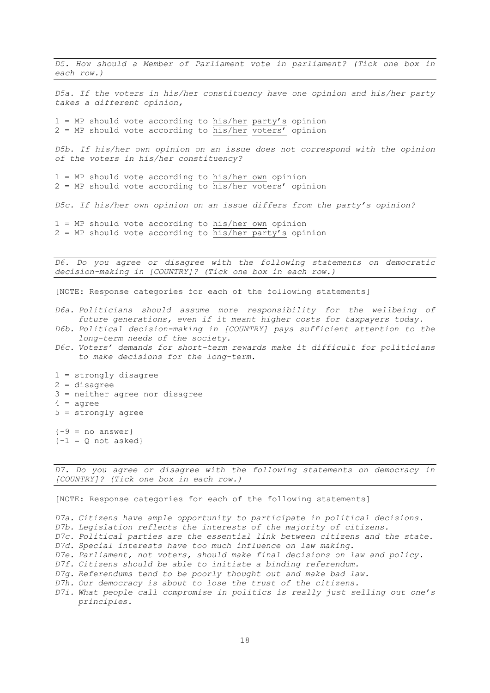*D5. How should a Member of Parliament vote in parliament? (Tick one box in each row.)*

*D5a. If the voters in his/her constituency have one opinion and his/her party takes a different opinion,* 

 $1 = MP$  should vote according to his/her party's opinion  $2 = MP$  should vote according to his/her voters' opinion

*D5b. If his/her own opinion on an issue does not correspond with the opinion of the voters in his/her constituency?*

1 = MP should vote according to his/her own opinion 2 = MP should vote according to his/her voters' opinion

*D5c. If his/her own opinion on an issue differs from the party's opinion?*

1 = MP should vote according to his/her own opinion  $2 = MP$  should vote according to  $his/her$  party's opinion

*D6. Do you agree or disagree with the following statements on democratic decision-making in [COUNTRY]? (Tick one box in each row.)* 

[NOTE: Response categories for each of the following statements]

- *D6a. Politicians should assume more responsibility for the wellbeing of future generations, even if it meant higher costs for taxpayers today.*
- *D6b. Political decision-making in [COUNTRY] pays sufficient attention to the long-term needs of the society.*
- *D6c. Voters' demands for short-term rewards make it difficult for politicians to make decisions for the long-term.*
- 1 = strongly disagree 2 = disagree 3 = neither agree nor disagree  $4 = aqree$ 5 = strongly agree  ${-9}$  = no answer}  $\{-1 = Q \text{ not asked}\}$

*D7. Do you agree or disagree with the following statements on democracy in [COUNTRY]? (Tick one box in each row.)* 

[NOTE: Response categories for each of the following statements]

*D7a. Citizens have ample opportunity to participate in political decisions.* 

*D7b. Legislation reflects the interests of the majority of citizens.*

*D7c. Political parties are the essential link between citizens and the state. D7d. Special interests have too much influence on law making.* 

- *D7e. Parliament, not voters, should make final decisions on law and policy.*
- *D7f. Citizens should be able to initiate a binding referendum.*
- *D7g. Referendums tend to be poorly thought out and make bad law.*
- *D7h. Our democracy is about to lose the trust of the citizens.*
- *D7i. What people call compromise in politics is really just selling out one's principles.*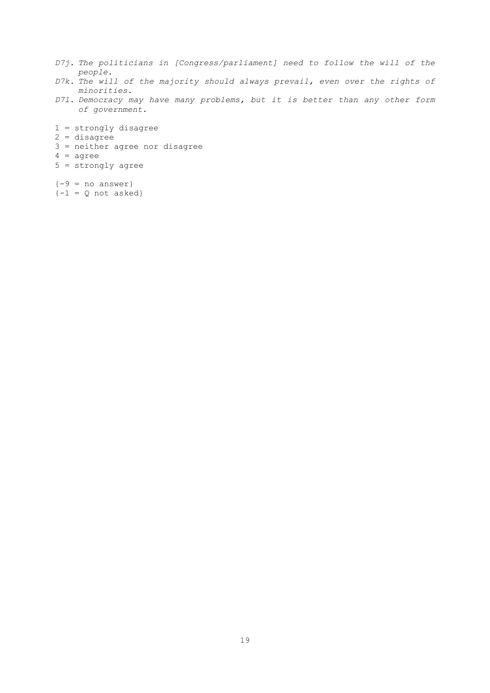- *D7j. The politicians in [Congress/parliament] need to follow the will of the people.*
- *D7k. The will of the majority should always prevail, even over the rights of minorities.*
- *D7l. Democracy may have many problems, but it is better than any other form of government.*
- 1 = strongly disagree 2 = disagree 3 = neither agree nor disagree 4 = agree 5 = strongly agree  ${-9}$  = no answer}
- ${-1}$  = Q not asked}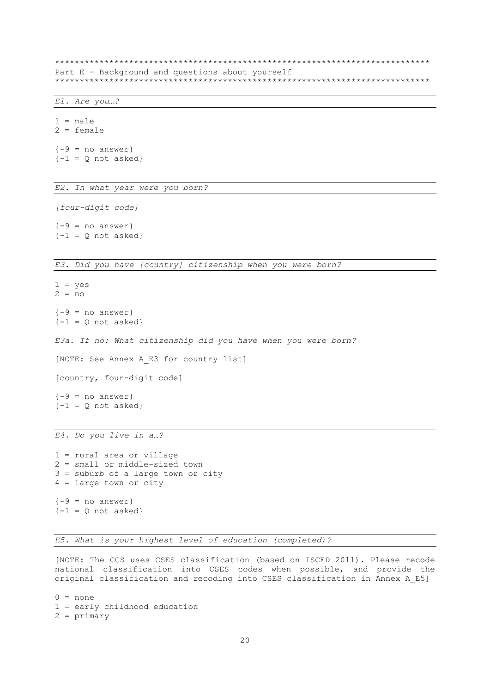\*\*\*\*\*\*\*\*\*\*\*\*\*\*\*\*\*\*\*\*\*\*\*\*\*\*\*\*\*\*\*\*\*\*\*\*\*\*\*\*\*\*\*\*\*\*\*\*\*\*\*\*\*\*\*\*\*\*\*\*\*\*\*\*\*\*\*\*\*\*\*\*\*\*\*\* Part E - Background and questions about yourself \*\*\*\*\*\*\*\*\*\*\*\*\*\*\*\*\*\*\*\*\*\*\*\*\*\*\*\*\*\*\*\*\*\*\*\*\*\*\*\*\*\*\*\*\*\*\*\*\*\*\*\*\*\*\*\*\*\*\*\*\*\*\*\*\*\*\*\*\*\*\*\*\*\*\*\*

#### *E1. Are you…?*

 $1 = male$ 2 = female  ${-9}$  = no answer}  $\{-1 = Q \text{ not asked}\}$ 

*E2. In what year were you born?*

*[four-digit code]*

 ${-9}$  = no answer}  $\{-1 = Q \text{ not asked}\}$ 

*E3. Did you have [country] citizenship when you were born?*

 $1 = ves$  $2 = no$  ${-9}$  = no answer}  $\{-1 = Q \text{ not asked}\}$ *E3a. If no: What citizenship did you have when you were born?* [NOTE: See Annex A\_E3 for country list] [country, four-digit code]  ${-9}$  = no answer}  $\{-1 = Q \text{ not asked}\}$ 

*E4. Do you live in a…?*

1 = rural area or village 2 = small or middle-sized town 3 = suburb of a large town or city 4 = large town or city  ${-9}$  = no answer}  ${-1}$  = Q not asked}

*E5. What is your highest level of education (completed)?*

[NOTE: The CCS uses CSES classification (based on ISCED 2011). Please recode national classification into CSES codes when possible, and provide the original classification and recoding into CSES classification in Annex A\_E5]

 $0 = none$ 1 = early childhood education 2 = primary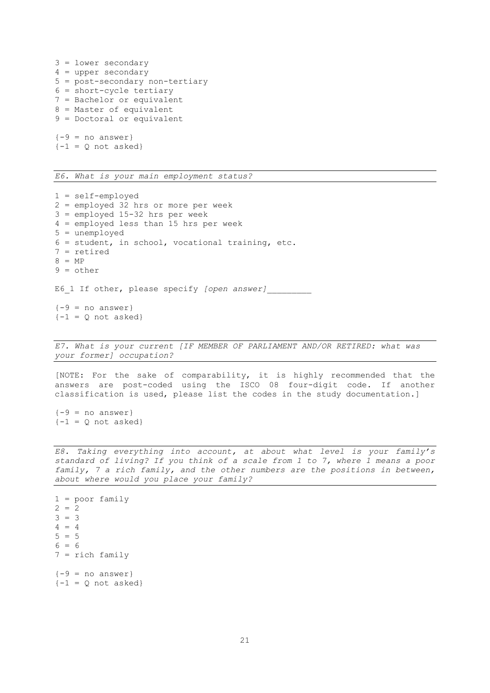```
3 = lower secondary
4 = upper secondary
5 = post-secondary non-tertiary
6 = short-cycle tertiary
7 = Bachelor or equivalent
8 = Master of equivalent
9 = Doctoral or equivalent
{-9} = no answer}
\{-1 = Q \text{ not asked}\}
```
*E6. What is your main employment status?*

```
1 = self-employed
2 = employed 32 hrs or more per week
3 = employed 15-32 hrs per week
4 = employed less than 15 hrs per week
5 = unemployed
6 = student, in school, vocational training, etc.
7 = retired
8 = MP
9 = other
E6 1 If other, please specify [open answer]
{-9} = no answer}
\{-1 = Q \text{ not asked}\}
```
*E7. What is your current [IF MEMBER OF PARLIAMENT AND/OR RETIRED: what was your former] occupation?*

[NOTE: For the sake of comparability, it is highly recommended that the answers are post-coded using the ISCO 08 four-digit code. If another classification is used, please list the codes in the study documentation.]

 ${-9}$  = no answer}  $\{-1 = Q \text{ not asked}\}$ 

*E8. Taking everything into account, at about what level is your family's standard of living? If you think of a scale from 1 to 7, where 1 means a poor family, 7 a rich family, and the other numbers are the positions in between, about where would you place your family?*

1 = poor family  $2 = 2$  $3 = 3$  $4 = 4$  $5 = 5$  $6 = 6$ 7 = rich family  ${-9}$  = no answer}  $\{-1 = Q \text{ not asked}\}$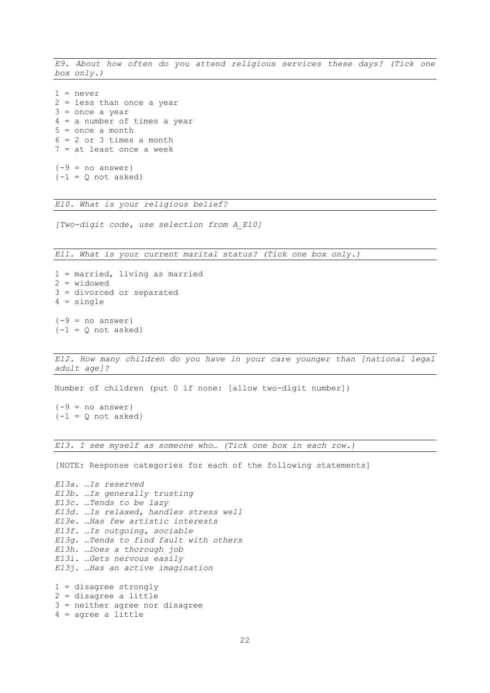*E9. About how often do you attend religious services these days? (Tick one box only.)*

 $1 = never$ 2 = less than once a year 3 = once a year 4 = a number of times a year 5 = once a month  $6 = 2$  or 3 times a month 7 = at least once a week  ${-9}$  = no answer}

 $\{-1 = Q \text{ not asked}\}$ 

*E10. What is your religious belief?*

*[Two-digit code, use selection from A\_E10]*

*E11. What is your current marital status? (Tick one box only.)*

```
1 = married, living as married
2 = widowed
3 = divorced or separated
4 = single
{-9} = no answer}
\{-1 = Q \text{ not asked}\}
```
*E12. How many children do you have in your care younger than [national legal adult age]?*

Number of children (put 0 if none: [allow two-digit number])

 ${-9}$  = no answer}  $\{-1 = Q \text{ not asked}\}$ 

*E13. I see myself as someone who… (Tick one box in each row.)*

[NOTE: Response categories for each of the following statements]

```
E13a. …Is reserved
E13b. …Is generally trusting
E13c. …Tends to be lazy
E13d. …Is relaxed, handles stress well
E13e. …Has few artistic interests
E13f. …Is outgoing, sociable
E13g. …Tends to find fault with others
E13h. …Does a thorough job
E13i. …Gets nervous easily
E13j. …Has an active imagination
1 = disagree strongly
2 = disagree a little
```

```
3 = neither agree nor disagree
4 = agree a little
```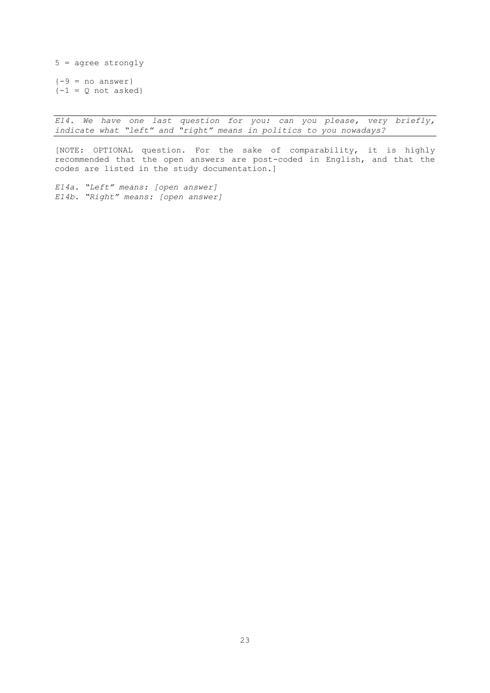5 = agree strongly  ${-9 = no answer}$  ${-1}$  = Q not asked}

*E14. We have one last question for you: can you please, very briefly, indicate what "left" and "right" means in politics to you nowadays?*

[NOTE: OPTIONAL question. For the sake of comparability, it is highly recommended that the open answers are post-coded in English, and that the codes are listed in the study documentation.]

*E14a. "Left" means: [open answer] E14b. "Right" means: [open answer]*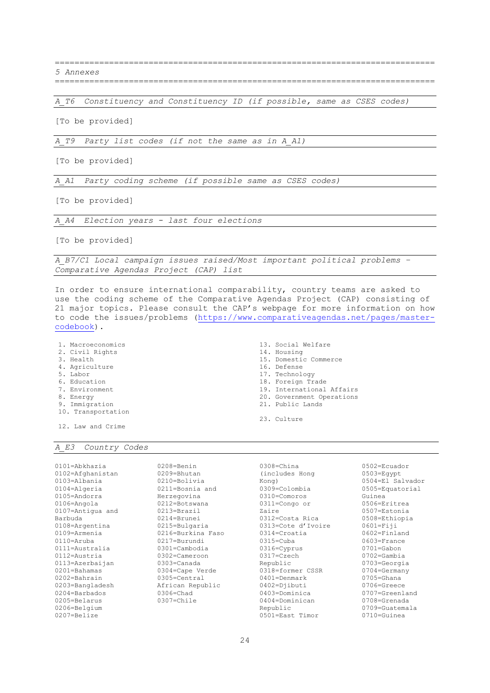============================================================================= *5 Annexes*

=============================================================================

*A\_T6 Constituency and Constituency ID (if possible, same as CSES codes)*

[To be provided]

*A\_T9 Party list codes (if not the same as in A\_A1)*

[To be provided]

*A\_A1 Party coding scheme (if possible same as CSES codes)*

[To be provided]

*A\_A4 Election years - last four elections*

[To be provided]

*A\_B7/C1 Local campaign issues raised/Most important political problems – Comparative Agendas Project (CAP) list*

In order to ensure international comparability, country teams are asked to use the coding scheme of the Comparative Agendas Project (CAP) consisting of 21 major topics. Please consult the CAP's webpage for more information on how to code the issues/problems [\(https://www.comparativeagendas.net/pages/master](https://www.comparativeagendas.net/pages/master-codebook)[codebook\)](https://www.comparativeagendas.net/pages/master-codebook).

- 1. Macroeconomics
- 2. Civil Rights
- 3. Health
- 4. Agriculture
- 5. Labor
- 6. Education
- 7. Environment
- 8. Energy
- 9. Immigration
- 10. Transportation

12. Law and Crime

## *A\_E3 Country Codes*

- 13. Social Welfare 14. Housing 15. Domestic Commerce 16. Defense 17. Technology
- 18. Foreign Trade
- 19. International Affairs
- 20. Government Operations
- 21. Public Lands
- 23. Culture

0101=Abkhazia 0102=Afghanistan 0103=Albania  $0104 =$ Algeria 0105=Andorra  $0106 = \text{Area}$ 0107=Antigua and Barbuda 0108=Argentina 0109=Armenia 0110=Aruba 0111=Australia 0112=Austria 0113=Azerbaijan 0201=Bahamas 0202=Bahrain 0203=Bangladesh 0204=Barbados 0205=Belarus 0206=Belgium 0207=Belize 0208=Benin 0209=Bhutan 0210=Bolivia 0211=Bosnia and Herzegovina 0212=Botswana 0213=Brazil 0214=Brunei 0215=Bulgaria 0216=Burkina Faso 0217=Burundi 0301=Cambodia 0302=Cameroon 0303=Canada 0304=Cape Verde 0305=Central African Republic  $0306$ =Chad 0307=Chile

0308=China (includes Hong Kong) 0309=Colombia 0310=Comoros 0311=Congo or Zaire 0312=Costa Rica 0313=Cote d'Ivoire 0314=Croatia 0315=Cuba 0316=Cyprus 0317=Czech Republic 0318=former CSSR 0401=Denmark 0402=Djibuti 0403=Dominica 0404=Dominican Republic 0501=East Timor

0502=Ecuador 0503=Egypt 0504=El Salvador 0505=Equatorial Guinea 0506=Eritrea 0507=Estonia 0508=Ethiopia 0601=Fiji 0602=Finland 0603=France 0701=Gabon 0702=Gambia 0703=Georgia 0704=Germany 0705=Ghana 0706=Greece 0707=Greenland 0708=Grenada 0709=Guatemala 0710=Guinea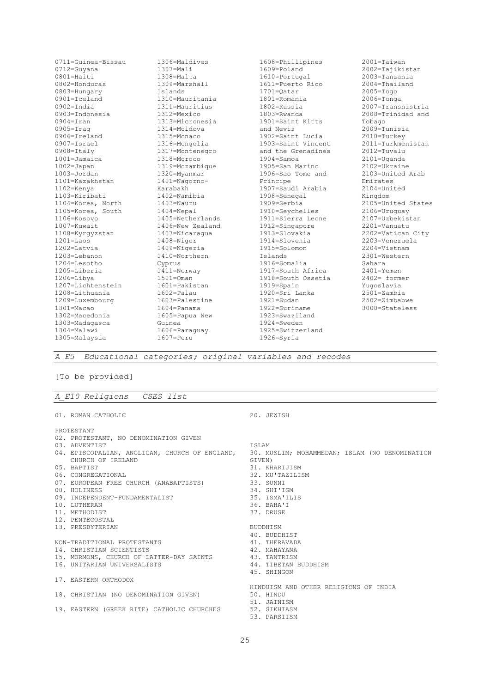| $0711 =$ Guinea-Bissau | $1306 = Ma$ ldives       | 1608=Phillipines       | $2001 =$ Taiwan    |
|------------------------|--------------------------|------------------------|--------------------|
| 0712=Guyana            | $1307 = Ma 11$           | 1609=Poland            | 2002=Tajikistan    |
| 0801=Haiti             | 1308=Malta               | 1610=Portugal          | 2003=Tanzania      |
| $0802$ =Honduras       | 1309=Marshall            | 1611=Puerto Rico       | 2004=Thailand      |
| $0803$ =Hungary        | <b>Tslands</b>           | $1701 =$ Qatar         | $2005 = T$ ogo     |
| $0901 =$ Iceland       | 1310=Mauritania          | 1801=Romania           | $2006 =$ Tonga     |
| $0902 = India$         | 1311=Mauritius           | $1802 = \text{Russia}$ | 2007=Transnistria  |
| 0903=Indonesia         | 1312=Mexico              | 1803=Rwanda            | 2008=Trinidad and  |
| $0904 =$ Iran          | 1313=Micronesia          | 1901=Saint Kitts       | Tobago             |
| $0905 = Iraq$          | $1314 = \text{Mo}$ ldova | and Nevis              | 2009=Tunisia       |
| 0906=Ireland           | $1315$ =Monaco           | 1902=Saint Lucia       | $2010 = Turkey$    |
| $0907 = Isrc$          | 1316=Mongolia            | 1903=Saint Vincent     | 2011=Turkmenistan  |
| $0908 = \text{Italy}$  | 1317=Montenegro          | and the Grenadines     | $2012 = Tuyallu$   |
| $1001 =$ Jamaica       | 1318=Moroco              | $1904 =$ Samoa         | 2101=Uganda        |
| $1002 =$ Japan         | 1319=Mozambique          | 1905=San Marino        | $2102 =$ Ukraine   |
| $1003 = Jordan$        | 1320=Myanmar             | 1906=Sao Tome and      | 2103=United Arab   |
| 1101=Kazakhstan        | $1401 = Naqorno-$        | Principe               | Emirates           |
| 1102=Kenya             | Karabakh                 | 1907=Saudi Arabia      | $2104 =$ United    |
| 1103=Kiribati          | $1402 =$ Namibia         | $1908 =$ Senegal       | Kingdom            |
| 1104=Korea, North      | $1403 =$ Nauru           | 1909=Serbia            | 2105=United States |
| 1105=Korea, South      | $1404 = Nepal$           | 1910=Seychelles        | $2106 = Uruguav$   |
| $1106 = Kosovo$        | 1405=Netherlands         | 1911=Sierra Leone      | 2107=Uzbekistan    |
| 1007=Kuwait            | 1406=New Zealand         | 1912=Singapore         | 2201=Vanuatu       |
| 1108=Kyrgyzstan        | 1407=Nicaragua           | 1913=Slovakia          | 2202=Vatican City  |
| $1201 =$ Laos          | $1408 =$ Niger           | 1914=Slovenia          | $2203 =$ Venezuela |
| $1202 =$ Latvia        | 1409=Nigeria             | 1915=Solomon           | $2204 =$ Vietnam   |
| 1203=Lebanon           | 1410=Northern            | Islands                | $2301$ = Western   |
| 1204=Lesotho           | Cyprus                   | 1916=Somalia           | Sahara             |
| 1205=Liberia           | 1411=Norway              | 1917=South Africa      | $2401 =$ Yemen     |
| $1206 =$ Libya         | $1501 =$ Oman            | 1918=South Ossetia     | 2402= former       |
| 1207=Lichtenstein      | 1601=Pakistan            | 1919=Spain             | Yuqoslavia         |
| 1208=Lithuania         | 1602=Palau               | 1920=Sri Lanka         | $2501 = Zambia$    |
| 1209=Luxembourg        | 1603=Palestine           | $1921 = \text{Sudan}$  | $2502 = Zimbabwe$  |
| $1301 = Macao$         | $1604 =$ Panama          | 1922=Suriname          | 3000=Stateless     |
| 1302=Macedonia         | 1605=Papua New           | 1923=Swaziland         |                    |
| 1303=Madagasca         | Guinea                   | 1924=Sweden            |                    |
| $1304 = Ma1awi$        | 1606=Paraguay            | 1925=Switzerland       |                    |
| 1305=Malaysia          | $1607 = Peru$            | $1926 = Syria$         |                    |

*A\_E5 Educational categories; original variables and recodes*

## [To be provided]

### *A\_E10 Religions CSES list*

01. ROMAN CATHOLIC PROTESTANT 02. PROTESTANT, NO DENOMINATION GIVEN 03. ADVENTIST 04. EPISCOPALIAN, ANGLICAN, CHURCH OF ENGLAND, CHURCH OF IRELAND 05. BAPTIST 06. CONGREGATIONAL 07. EUROPEAN FREE CHURCH (ANABAPTISTS) 08. HOLINESS 09. INDEPENDENT-FUNDAMENTALIST 10. LUTHERAN 11. METHODIST 12. PENTECOSTAL 13. PRESBYTERIAN NON-TRADITIONAL PROTESTANTS 14. CHRISTIAN SCIENTISTS 15. MORMONS, CHURCH OF LATTER-DAY SAINTS 16. UNITARIAN UNIVERSALISTS 17. EASTERN ORTHODOX 18. CHRISTIAN (NO DENOMINATION GIVEN) 19. EASTERN (GREEK RITE) CATHOLIC CHURCHES 20. JEWISH ISLAM 30. MUSLIM; MOHAMMEDAN; ISLAM (NO DENOMINATION GIVEN) 31. KHARIJISM 32. MU'TAZILISM 33. SUNNI 34. SHI'ISM 35. ISMA'ILIS 36. BAHA'I 37. DRUSE BUDDHISM 40. BUDDHIST 41. THERAVADA 42. MAHAYANA 43. TANTRISM 44. TIBETAN BUDDHISM 45. SHINGON HINDUISM AND OTHER RELIGIONS OF INDIA 50. HINDU 51. JAINISM 52. SIKHIASM 53. PARSIISM